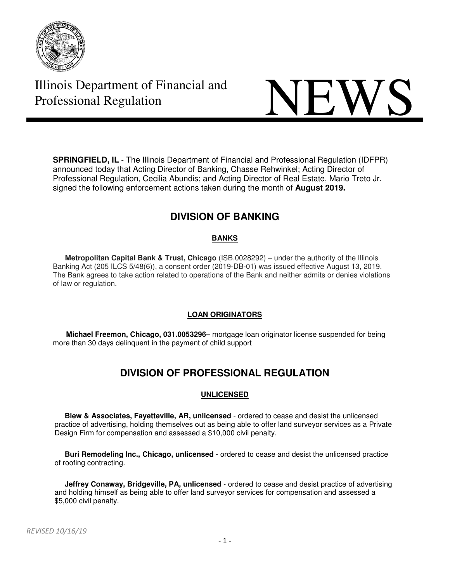

# **Illinois Department of Financial and NEWS**

**SPRINGFIELD, IL** - The Illinois Department of Financial and Professional Regulation (IDFPR) announced today that Acting Director of Banking, Chasse Rehwinkel; Acting Director of Professional Regulation, Cecilia Abundis; and Acting Director of Real Estate, Mario Treto Jr. signed the following enforcement actions taken during the month of **August 2019.** 

# **DIVISION OF BANKING**

#### **BANKS**

 **Metropolitan Capital Bank & Trust, Chicago** (ISB.0028292) – under the authority of the Illinois Banking Act (205 ILCS 5/48(6)), a consent order (2019-DB-01) was issued effective August 13, 2019. The Bank agrees to take action related to operations of the Bank and neither admits or denies violations of law or regulation.

#### **LOAN ORIGINATORS**

**Michael Freemon, Chicago, 031.0053296–** mortgage loan originator license suspended for being more than 30 days delinquent in the payment of child support

## **DIVISION OF PROFESSIONAL REGULATION**

#### **UNLICENSED**

 **Blew & Associates, Fayetteville, AR, unlicensed** - ordered to cease and desist the unlicensed practice of advertising, holding themselves out as being able to offer land surveyor services as a Private Design Firm for compensation and assessed a \$10,000 civil penalty.

 **Buri Remodeling Inc., Chicago, unlicensed** - ordered to cease and desist the unlicensed practice of roofing contracting.

 **Jeffrey Conaway, Bridgeville, PA, unlicensed** - ordered to cease and desist practice of advertising and holding himself as being able to offer land surveyor services for compensation and assessed a \$5,000 civil penalty.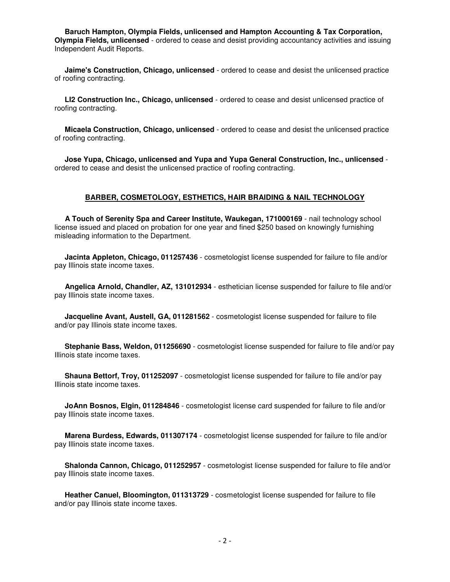**Baruch Hampton, Olympia Fields, unlicensed and Hampton Accounting & Tax Corporation, Olympia Fields, unlicensed** - ordered to cease and desist providing accountancy activities and issuing Independent Audit Reports.

 **Jaime's Construction, Chicago, unlicensed** - ordered to cease and desist the unlicensed practice of roofing contracting.

 **LI2 Construction Inc., Chicago, unlicensed** - ordered to cease and desist unlicensed practice of roofing contracting.

 **Micaela Construction, Chicago, unlicensed** - ordered to cease and desist the unlicensed practice of roofing contracting.

 **Jose Yupa, Chicago, unlicensed and Yupa and Yupa General Construction, Inc., unlicensed** ordered to cease and desist the unlicensed practice of roofing contracting.

#### **BARBER, COSMETOLOGY, ESTHETICS, HAIR BRAIDING & NAIL TECHNOLOGY**

 **A Touch of Serenity Spa and Career Institute, Waukegan, 171000169** - nail technology school license issued and placed on probation for one year and fined \$250 based on knowingly furnishing misleading information to the Department.

 **Jacinta Appleton, Chicago, 011257436** - cosmetologist license suspended for failure to file and/or pay Illinois state income taxes.

 **Angelica Arnold, Chandler, AZ, 131012934** - esthetician license suspended for failure to file and/or pay Illinois state income taxes.

 **Jacqueline Avant, Austell, GA, 011281562** - cosmetologist license suspended for failure to file and/or pay Illinois state income taxes.

 **Stephanie Bass, Weldon, 011256690** - cosmetologist license suspended for failure to file and/or pay Illinois state income taxes.

 **Shauna Bettorf, Troy, 011252097** - cosmetologist license suspended for failure to file and/or pay Illinois state income taxes.

 **JoAnn Bosnos, Elgin, 011284846** - cosmetologist license card suspended for failure to file and/or pay Illinois state income taxes.

 **Marena Burdess, Edwards, 011307174** - cosmetologist license suspended for failure to file and/or pay Illinois state income taxes.

 **Shalonda Cannon, Chicago, 011252957** - cosmetologist license suspended for failure to file and/or pay Illinois state income taxes.

 **Heather Canuel, Bloomington, 011313729** - cosmetologist license suspended for failure to file and/or pay Illinois state income taxes.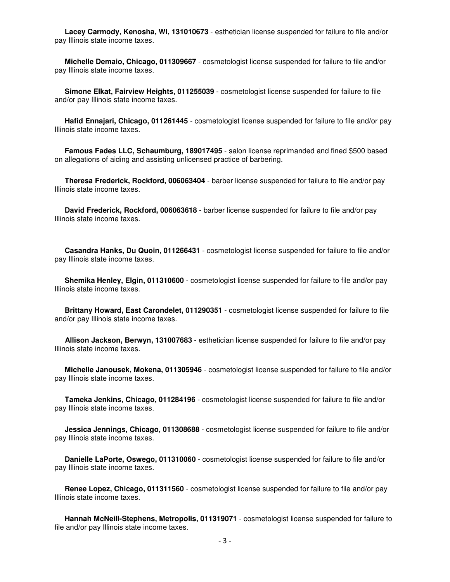**Lacey Carmody, Kenosha, WI, 131010673** - esthetician license suspended for failure to file and/or pay Illinois state income taxes.

 **Michelle Demaio, Chicago, 011309667** - cosmetologist license suspended for failure to file and/or pay Illinois state income taxes.

 **Simone Elkat, Fairview Heights, 011255039** - cosmetologist license suspended for failure to file and/or pay Illinois state income taxes.

 **Hafid Ennajari, Chicago, 011261445** - cosmetologist license suspended for failure to file and/or pay Illinois state income taxes.

 **Famous Fades LLC, Schaumburg, 189017495** - salon license reprimanded and fined \$500 based on allegations of aiding and assisting unlicensed practice of barbering.

 **Theresa Frederick, Rockford, 006063404** - barber license suspended for failure to file and/or pay Illinois state income taxes.

 **David Frederick, Rockford, 006063618** - barber license suspended for failure to file and/or pay Illinois state income taxes.

 **Casandra Hanks, Du Quoin, 011266431** - cosmetologist license suspended for failure to file and/or pay Illinois state income taxes.

 **Shemika Henley, Elgin, 011310600** - cosmetologist license suspended for failure to file and/or pay Illinois state income taxes.

 **Brittany Howard, East Carondelet, 011290351** - cosmetologist license suspended for failure to file and/or pay Illinois state income taxes.

 **Allison Jackson, Berwyn, 131007683** - esthetician license suspended for failure to file and/or pay Illinois state income taxes.

 **Michelle Janousek, Mokena, 011305946** - cosmetologist license suspended for failure to file and/or pay Illinois state income taxes.

 **Tameka Jenkins, Chicago, 011284196** - cosmetologist license suspended for failure to file and/or pay Illinois state income taxes.

 **Jessica Jennings, Chicago, 011308688** - cosmetologist license suspended for failure to file and/or pay Illinois state income taxes.

 **Danielle LaPorte, Oswego, 011310060** - cosmetologist license suspended for failure to file and/or pay Illinois state income taxes.

 **Renee Lopez, Chicago, 011311560** - cosmetologist license suspended for failure to file and/or pay Illinois state income taxes.

 **Hannah McNeill-Stephens, Metropolis, 011319071** - cosmetologist license suspended for failure to file and/or pay Illinois state income taxes.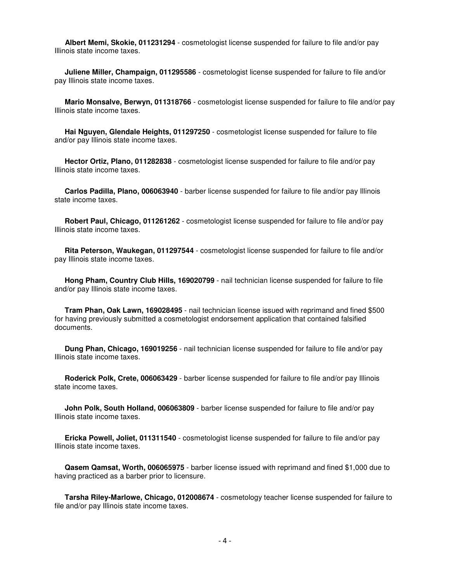**Albert Memi, Skokie, 011231294** - cosmetologist license suspended for failure to file and/or pay Illinois state income taxes.

 **Juliene Miller, Champaign, 011295586** - cosmetologist license suspended for failure to file and/or pay Illinois state income taxes.

 **Mario Monsalve, Berwyn, 011318766** - cosmetologist license suspended for failure to file and/or pay Illinois state income taxes.

 **Hai Nguyen, Glendale Heights, 011297250** - cosmetologist license suspended for failure to file and/or pay Illinois state income taxes.

 **Hector Ortiz, Plano, 011282838** - cosmetologist license suspended for failure to file and/or pay Illinois state income taxes.

 **Carlos Padilla, Plano, 006063940** - barber license suspended for failure to file and/or pay Illinois state income taxes.

 **Robert Paul, Chicago, 011261262** - cosmetologist license suspended for failure to file and/or pay Illinois state income taxes.

 **Rita Peterson, Waukegan, 011297544** - cosmetologist license suspended for failure to file and/or pay Illinois state income taxes.

 **Hong Pham, Country Club Hills, 169020799** - nail technician license suspended for failure to file and/or pay Illinois state income taxes.

 **Tram Phan, Oak Lawn, 169028495** - nail technician license issued with reprimand and fined \$500 for having previously submitted a cosmetologist endorsement application that contained falsified documents.

 **Dung Phan, Chicago, 169019256** - nail technician license suspended for failure to file and/or pay Illinois state income taxes.

 **Roderick Polk, Crete, 006063429** - barber license suspended for failure to file and/or pay Illinois state income taxes.

 **John Polk, South Holland, 006063809** - barber license suspended for failure to file and/or pay Illinois state income taxes.

 **Ericka Powell, Joliet, 011311540** - cosmetologist license suspended for failure to file and/or pay Illinois state income taxes.

 **Qasem Qamsat, Worth, 006065975** - barber license issued with reprimand and fined \$1,000 due to having practiced as a barber prior to licensure.

 **Tarsha Riley-Marlowe, Chicago, 012008674** - cosmetology teacher license suspended for failure to file and/or pay Illinois state income taxes.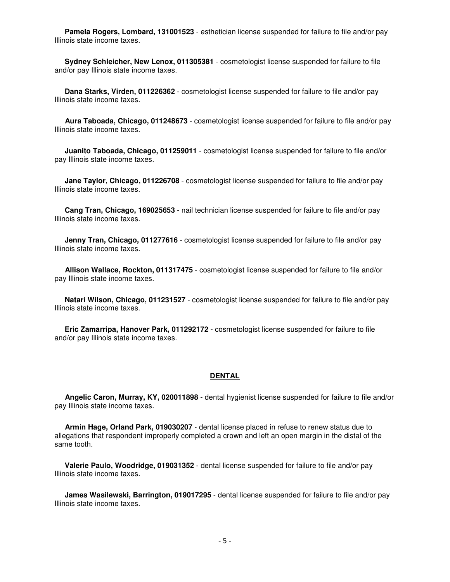**Pamela Rogers, Lombard, 131001523** - esthetician license suspended for failure to file and/or pay Illinois state income taxes.

 **Sydney Schleicher, New Lenox, 011305381** - cosmetologist license suspended for failure to file and/or pay Illinois state income taxes.

 **Dana Starks, Virden, 011226362** - cosmetologist license suspended for failure to file and/or pay Illinois state income taxes.

 **Aura Taboada, Chicago, 011248673** - cosmetologist license suspended for failure to file and/or pay Illinois state income taxes.

 **Juanito Taboada, Chicago, 011259011** - cosmetologist license suspended for failure to file and/or pay Illinois state income taxes.

 **Jane Taylor, Chicago, 011226708** - cosmetologist license suspended for failure to file and/or pay Illinois state income taxes.

 **Cang Tran, Chicago, 169025653** - nail technician license suspended for failure to file and/or pay Illinois state income taxes.

 **Jenny Tran, Chicago, 011277616** - cosmetologist license suspended for failure to file and/or pay Illinois state income taxes.

 **Allison Wallace, Rockton, 011317475** - cosmetologist license suspended for failure to file and/or pay Illinois state income taxes.

 **Natari Wilson, Chicago, 011231527** - cosmetologist license suspended for failure to file and/or pay Illinois state income taxes.

 **Eric Zamarripa, Hanover Park, 011292172** - cosmetologist license suspended for failure to file and/or pay Illinois state income taxes.

#### **DENTAL**

 **Angelic Caron, Murray, KY, 020011898** - dental hygienist license suspended for failure to file and/or pay Illinois state income taxes.

 **Armin Hage, Orland Park, 019030207** - dental license placed in refuse to renew status due to allegations that respondent improperly completed a crown and left an open margin in the distal of the same tooth.

 **Valerie Paulo, Woodridge, 019031352** - dental license suspended for failure to file and/or pay Illinois state income taxes.

 **James Wasilewski, Barrington, 019017295** - dental license suspended for failure to file and/or pay Illinois state income taxes.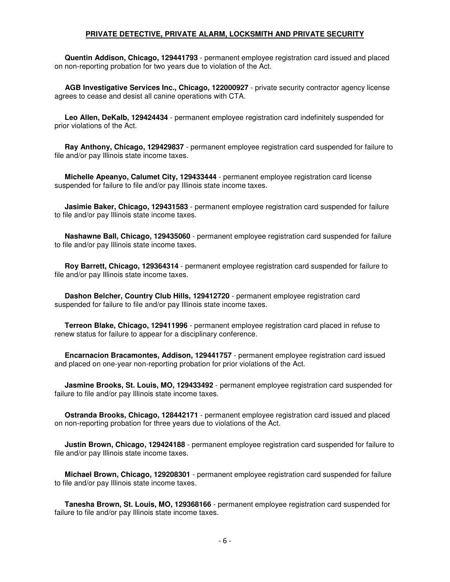#### **PRIVATE DETECTIVE, PRIVATE ALARM, LOCKSMITH AND PRIVATE SECURITY**

 **Quentin Addison, Chicago, 129441793** - permanent employee registration card issued and placed on non-reporting probation for two years due to violation of the Act.

 **AGB Investigative Services Inc., Chicago, 122000927** - private security contractor agency license agrees to cease and desist all canine operations with CTA.

 **Leo Allen, DeKalb, 129424434** - permanent employee registration card indefinitely suspended for prior violations of the Act.

 **Ray Anthony, Chicago, 129429837** - permanent employee registration card suspended for failure to file and/or pay Illinois state income taxes.

 **Michelle Apeanyo, Calumet City, 129433444** - permanent employee registration card license suspended for failure to file and/or pay Illinois state income taxes.

 **Jasimie Baker, Chicago, 129431583** - permanent employee registration card suspended for failure to file and/or pay Illinois state income taxes.

 **Nashawne Ball, Chicago, 129435060** - permanent employee registration card suspended for failure to file and/or pay Illinois state income taxes.

 **Roy Barrett, Chicago, 129364314** - permanent employee registration card suspended for failure to file and/or pay Illinois state income taxes.

 **Dashon Belcher, Country Club Hills, 129412720** - permanent employee registration card suspended for failure to file and/or pay Illinois state income taxes.

 **Terreon Blake, Chicago, 129411996** - permanent employee registration card placed in refuse to renew status for failure to appear for a disciplinary conference.

 **Encarnacion Bracamontes, Addison, 129441757** - permanent employee registration card issued and placed on one-year non-reporting probation for prior violations of the Act.

 **Jasmine Brooks, St. Louis, MO, 129433492** - permanent employee registration card suspended for failure to file and/or pay Illinois state income taxes.

 **Ostranda Brooks, Chicago, 128442171** - permanent employee registration card issued and placed on non-reporting probation for three years due to violations of the Act.

 **Justin Brown, Chicago, 129424188** - permanent employee registration card suspended for failure to file and/or pay Illinois state income taxes.

 **Michael Brown, Chicago, 129208301** - permanent employee registration card suspended for failure to file and/or pay Illinois state income taxes.

 **Tanesha Brown, St. Louis, MO, 129368166** - permanent employee registration card suspended for failure to file and/or pay Illinois state income taxes.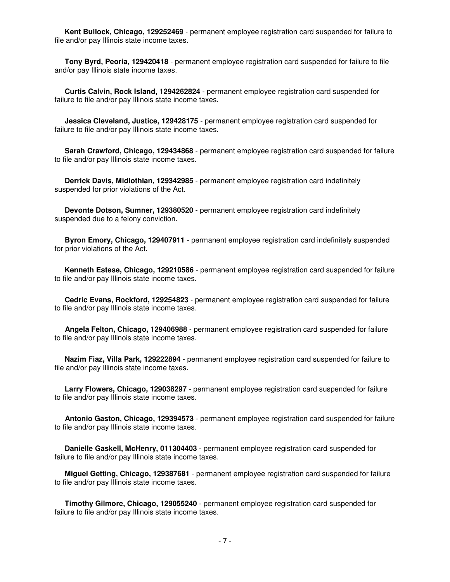**Kent Bullock, Chicago, 129252469** - permanent employee registration card suspended for failure to file and/or pay Illinois state income taxes.

 **Tony Byrd, Peoria, 129420418** - permanent employee registration card suspended for failure to file and/or pay Illinois state income taxes.

 **Curtis Calvin, Rock Island, 1294262824** - permanent employee registration card suspended for failure to file and/or pay Illinois state income taxes.

 **Jessica Cleveland, Justice, 129428175** - permanent employee registration card suspended for failure to file and/or pay Illinois state income taxes.

 **Sarah Crawford, Chicago, 129434868** - permanent employee registration card suspended for failure to file and/or pay Illinois state income taxes.

 **Derrick Davis, Midlothian, 129342985** - permanent employee registration card indefinitely suspended for prior violations of the Act.

 **Devonte Dotson, Sumner, 129380520** - permanent employee registration card indefinitely suspended due to a felony conviction.

 **Byron Emory, Chicago, 129407911** - permanent employee registration card indefinitely suspended for prior violations of the Act.

 **Kenneth Estese, Chicago, 129210586** - permanent employee registration card suspended for failure to file and/or pay Illinois state income taxes.

 **Cedric Evans, Rockford, 129254823** - permanent employee registration card suspended for failure to file and/or pay Illinois state income taxes.

 **Angela Felton, Chicago, 129406988** - permanent employee registration card suspended for failure to file and/or pay Illinois state income taxes.

 **Nazim Fiaz, Villa Park, 129222894** - permanent employee registration card suspended for failure to file and/or pay Illinois state income taxes.

 **Larry Flowers, Chicago, 129038297** - permanent employee registration card suspended for failure to file and/or pay Illinois state income taxes.

 **Antonio Gaston, Chicago, 129394573** - permanent employee registration card suspended for failure to file and/or pay Illinois state income taxes.

 **Danielle Gaskell, McHenry, 011304403** - permanent employee registration card suspended for failure to file and/or pay Illinois state income taxes.

 **Miguel Getting, Chicago, 129387681** - permanent employee registration card suspended for failure to file and/or pay Illinois state income taxes.

 **Timothy Gilmore, Chicago, 129055240** - permanent employee registration card suspended for failure to file and/or pay Illinois state income taxes.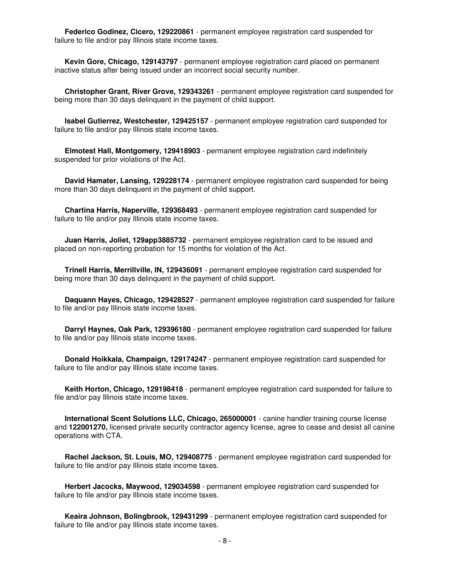**Federico Godinez, Cicero, 129220861** - permanent employee registration card suspended for failure to file and/or pay Illinois state income taxes.

 **Kevin Gore, Chicago, 129143797** - permanent employee registration card placed on permanent inactive status after being issued under an incorrect social security number.

 **Christopher Grant, River Grove, 129343261** - permanent employee registration card suspended for being more than 30 days delinquent in the payment of child support.

 **Isabel Gutierrez, Westchester, 129425157** - permanent employee registration card suspended for failure to file and/or pay Illinois state income taxes.

 **Elmotest Hall, Montgomery, 129418903** - permanent employee registration card indefinitely suspended for prior violations of the Act.

 **David Hamater, Lansing, 129228174** - permanent employee registration card suspended for being more than 30 days delinquent in the payment of child support.

 **Chartina Harris, Naperville, 129368493** - permanent employee registration card suspended for failure to file and/or pay Illinois state income taxes.

 **Juan Harris, Joliet, 129app3885732** - permanent employee registration card to be issued and placed on non-reporting probation for 15 months for violation of the Act.

 **Trinell Harris, Merrillville, IN, 129436091** - permanent employee registration card suspended for being more than 30 days delinquent in the payment of child support.

 **Daquann Hayes, Chicago, 129428527** - permanent employee registration card suspended for failure to file and/or pay Illinois state income taxes.

 **Darryl Haynes, Oak Park, 129396180** - permanent employee registration card suspended for failure to file and/or pay Illinois state income taxes.

 **Donald Hoikkala, Champaign, 129174247** - permanent employee registration card suspended for failure to file and/or pay Illinois state income taxes.

 **Keith Horton, Chicago, 129198418** - permanent employee registration card suspended for failure to file and/or pay Illinois state income taxes.

 **International Scent Solutions LLC, Chicago, 265000001** - canine handler training course license and **122001270,** licensed private security contractor agency license, agree to cease and desist all canine operations with CTA.

 **Rachel Jackson, St. Louis, MO, 129408775** - permanent employee registration card suspended for failure to file and/or pay Illinois state income taxes.

 **Herbert Jacocks, Maywood, 129034598** - permanent employee registration card suspended for failure to file and/or pay Illinois state income taxes.

 **Keaira Johnson, Bolingbrook, 129431299** - permanent employee registration card suspended for failure to file and/or pay Illinois state income taxes.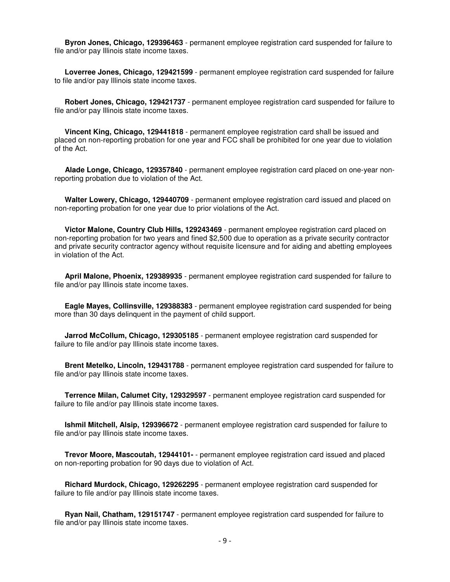**Byron Jones, Chicago, 129396463** - permanent employee registration card suspended for failure to file and/or pay Illinois state income taxes.

 **Loverree Jones, Chicago, 129421599** - permanent employee registration card suspended for failure to file and/or pay Illinois state income taxes.

 **Robert Jones, Chicago, 129421737** - permanent employee registration card suspended for failure to file and/or pay Illinois state income taxes.

 **Vincent King, Chicago, 129441818** - permanent employee registration card shall be issued and placed on non-reporting probation for one year and FCC shall be prohibited for one year due to violation of the Act.

 **Alade Longe, Chicago, 129357840** - permanent employee registration card placed on one-year nonreporting probation due to violation of the Act.

 **Walter Lowery, Chicago, 129440709** - permanent employee registration card issued and placed on non-reporting probation for one year due to prior violations of the Act.

 **Victor Malone, Country Club Hills, 129243469** - permanent employee registration card placed on non-reporting probation for two years and fined \$2,500 due to operation as a private security contractor and private security contractor agency without requisite licensure and for aiding and abetting employees in violation of the Act.

 **April Malone, Phoenix, 129389935** - permanent employee registration card suspended for failure to file and/or pay Illinois state income taxes.

 **Eagle Mayes, Collinsville, 129388383** - permanent employee registration card suspended for being more than 30 days delinquent in the payment of child support.

 **Jarrod McCollum, Chicago, 129305185** - permanent employee registration card suspended for failure to file and/or pay Illinois state income taxes.

 **Brent Metelko, Lincoln, 129431788** - permanent employee registration card suspended for failure to file and/or pay Illinois state income taxes.

 **Terrence Milan, Calumet City, 129329597** - permanent employee registration card suspended for failure to file and/or pay Illinois state income taxes.

 **Ishmil Mitchell, Alsip, 129396672** - permanent employee registration card suspended for failure to file and/or pay Illinois state income taxes.

 **Trevor Moore, Mascoutah, 12944101-** - permanent employee registration card issued and placed on non-reporting probation for 90 days due to violation of Act.

 **Richard Murdock, Chicago, 129262295** - permanent employee registration card suspended for failure to file and/or pay Illinois state income taxes.

 **Ryan Nail, Chatham, 129151747** - permanent employee registration card suspended for failure to file and/or pay Illinois state income taxes.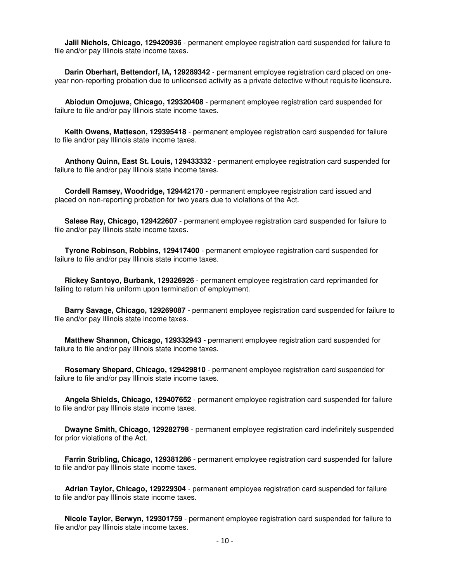**Jalil Nichols, Chicago, 129420936** - permanent employee registration card suspended for failure to file and/or pay Illinois state income taxes.

 **Darin Oberhart, Bettendorf, IA, 129289342** - permanent employee registration card placed on oneyear non-reporting probation due to unlicensed activity as a private detective without requisite licensure.

 **Abiodun Omojuwa, Chicago, 129320408** - permanent employee registration card suspended for failure to file and/or pay Illinois state income taxes.

 **Keith Owens, Matteson, 129395418** - permanent employee registration card suspended for failure to file and/or pay Illinois state income taxes.

 **Anthony Quinn, East St. Louis, 129433332** - permanent employee registration card suspended for failure to file and/or pay Illinois state income taxes.

 **Cordell Ramsey, Woodridge, 129442170** - permanent employee registration card issued and placed on non-reporting probation for two years due to violations of the Act.

 **Salese Ray, Chicago, 129422607** - permanent employee registration card suspended for failure to file and/or pay Illinois state income taxes.

 **Tyrone Robinson, Robbins, 129417400** - permanent employee registration card suspended for failure to file and/or pay Illinois state income taxes.

 **Rickey Santoyo, Burbank, 129326926** - permanent employee registration card reprimanded for failing to return his uniform upon termination of employment.

 **Barry Savage, Chicago, 129269087** - permanent employee registration card suspended for failure to file and/or pay Illinois state income taxes.

 **Matthew Shannon, Chicago, 129332943** - permanent employee registration card suspended for failure to file and/or pay Illinois state income taxes.

 **Rosemary Shepard, Chicago, 129429810** - permanent employee registration card suspended for failure to file and/or pay Illinois state income taxes.

 **Angela Shields, Chicago, 129407652** - permanent employee registration card suspended for failure to file and/or pay Illinois state income taxes.

 **Dwayne Smith, Chicago, 129282798** - permanent employee registration card indefinitely suspended for prior violations of the Act.

 **Farrin Stribling, Chicago, 129381286** - permanent employee registration card suspended for failure to file and/or pay Illinois state income taxes.

 **Adrian Taylor, Chicago, 129229304** - permanent employee registration card suspended for failure to file and/or pay Illinois state income taxes.

 **Nicole Taylor, Berwyn, 129301759** - permanent employee registration card suspended for failure to file and/or pay Illinois state income taxes.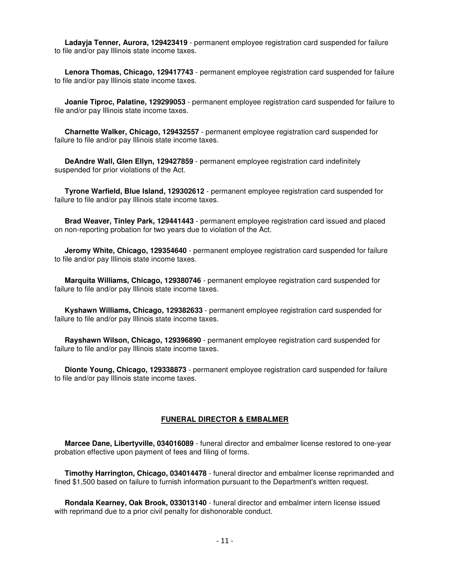**Ladayja Tenner, Aurora, 129423419** - permanent employee registration card suspended for failure to file and/or pay Illinois state income taxes.

 **Lenora Thomas, Chicago, 129417743** - permanent employee registration card suspended for failure to file and/or pay Illinois state income taxes.

 **Joanie Tiproc, Palatine, 129299053** - permanent employee registration card suspended for failure to file and/or pay Illinois state income taxes.

 **Charnette Walker, Chicago, 129432557** - permanent employee registration card suspended for failure to file and/or pay Illinois state income taxes.

 **DeAndre Wall, Glen Ellyn, 129427859** - permanent employee registration card indefinitely suspended for prior violations of the Act.

 **Tyrone Warfield, Blue Island, 129302612** - permanent employee registration card suspended for failure to file and/or pay Illinois state income taxes.

 **Brad Weaver, Tinley Park, 129441443** - permanent employee registration card issued and placed on non-reporting probation for two years due to violation of the Act.

 **Jeromy White, Chicago, 129354640** - permanent employee registration card suspended for failure to file and/or pay Illinois state income taxes.

 **Marquita Williams, Chicago, 129380746** - permanent employee registration card suspended for failure to file and/or pay Illinois state income taxes.

 **Kyshawn Williams, Chicago, 129382633** - permanent employee registration card suspended for failure to file and/or pay Illinois state income taxes.

 **Rayshawn Wilson, Chicago, 129396890** - permanent employee registration card suspended for failure to file and/or pay Illinois state income taxes.

 **Dionte Young, Chicago, 129338873** - permanent employee registration card suspended for failure to file and/or pay Illinois state income taxes.

#### **FUNERAL DIRECTOR & EMBALMER**

 **Marcee Dane, Libertyville, 034016089** - funeral director and embalmer license restored to one-year probation effective upon payment of fees and filing of forms.

 **Timothy Harrington, Chicago, 034014478** - funeral director and embalmer license reprimanded and fined \$1,500 based on failure to furnish information pursuant to the Department's written request.

 **Rondala Kearney, Oak Brook, 033013140** - funeral director and embalmer intern license issued with reprimand due to a prior civil penalty for dishonorable conduct.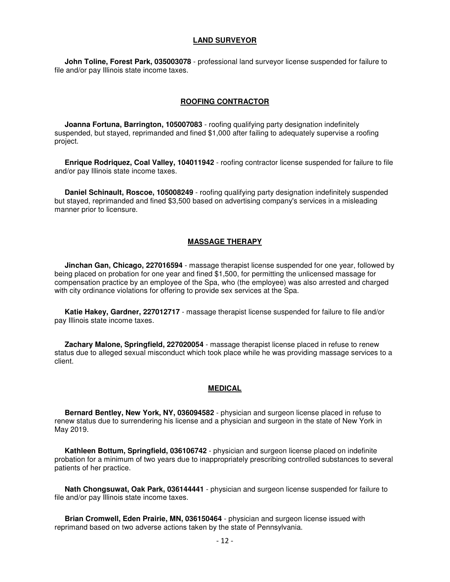#### **LAND SURVEYOR**

 **John Toline, Forest Park, 035003078** - professional land surveyor license suspended for failure to file and/or pay Illinois state income taxes.

#### **ROOFING CONTRACTOR**

 **Joanna Fortuna, Barrington, 105007083** - roofing qualifying party designation indefinitely suspended, but stayed, reprimanded and fined \$1,000 after failing to adequately supervise a roofing project.

 **Enrique Rodriquez, Coal Valley, 104011942** - roofing contractor license suspended for failure to file and/or pay Illinois state income taxes.

 **Daniel Schinault, Roscoe, 105008249** - roofing qualifying party designation indefinitely suspended but stayed, reprimanded and fined \$3,500 based on advertising company's services in a misleading manner prior to licensure.

#### **MASSAGE THERAPY**

 **Jinchan Gan, Chicago, 227016594** - massage therapist license suspended for one year, followed by being placed on probation for one year and fined \$1,500, for permitting the unlicensed massage for compensation practice by an employee of the Spa, who (the employee) was also arrested and charged with city ordinance violations for offering to provide sex services at the Spa.

 **Katie Hakey, Gardner, 227012717** - massage therapist license suspended for failure to file and/or pay Illinois state income taxes.

 **Zachary Malone, Springfield, 227020054** - massage therapist license placed in refuse to renew status due to alleged sexual misconduct which took place while he was providing massage services to a client.

#### **MEDICAL**

 **Bernard Bentley, New York, NY, 036094582** - physician and surgeon license placed in refuse to renew status due to surrendering his license and a physician and surgeon in the state of New York in May 2019.

 **Kathleen Bottum, Springfield, 036106742** - physician and surgeon license placed on indefinite probation for a minimum of two years due to inappropriately prescribing controlled substances to several patients of her practice.

 **Nath Chongsuwat, Oak Park, 036144441** - physician and surgeon license suspended for failure to file and/or pay Illinois state income taxes.

 **Brian Cromwell, Eden Prairie, MN, 036150464** - physician and surgeon license issued with reprimand based on two adverse actions taken by the state of Pennsylvania.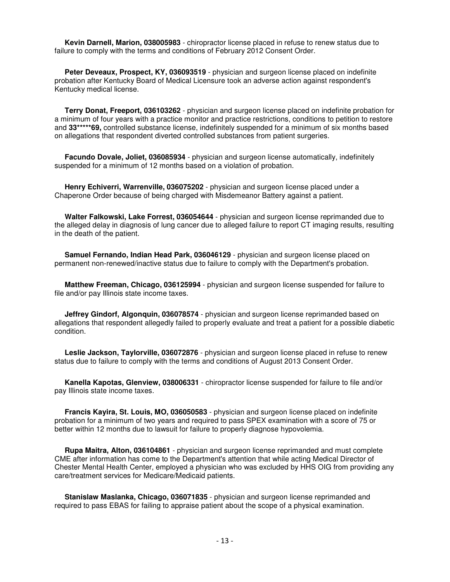**Kevin Darnell, Marion, 038005983** - chiropractor license placed in refuse to renew status due to failure to comply with the terms and conditions of February 2012 Consent Order.

 **Peter Deveaux, Prospect, KY, 036093519** - physician and surgeon license placed on indefinite probation after Kentucky Board of Medical Licensure took an adverse action against respondent's Kentucky medical license.

 **Terry Donat, Freeport, 036103262** - physician and surgeon license placed on indefinite probation for a minimum of four years with a practice monitor and practice restrictions, conditions to petition to restore and **33\*\*\*\*\*69,** controlled substance license, indefinitely suspended for a minimum of six months based on allegations that respondent diverted controlled substances from patient surgeries.

 **Facundo Dovale, Joliet, 036085934** - physician and surgeon license automatically, indefinitely suspended for a minimum of 12 months based on a violation of probation.

 **Henry Echiverri, Warrenville, 036075202** - physician and surgeon license placed under a Chaperone Order because of being charged with Misdemeanor Battery against a patient.

 **Walter Falkowski, Lake Forrest, 036054644** - physician and surgeon license reprimanded due to the alleged delay in diagnosis of lung cancer due to alleged failure to report CT imaging results, resulting in the death of the patient.

 **Samuel Fernando, Indian Head Park, 036046129** - physician and surgeon license placed on permanent non-renewed/inactive status due to failure to comply with the Department's probation.

 **Matthew Freeman, Chicago, 036125994** - physician and surgeon license suspended for failure to file and/or pay Illinois state income taxes.

 **Jeffrey Gindorf, Algonquin, 036078574** - physician and surgeon license reprimanded based on allegations that respondent allegedly failed to properly evaluate and treat a patient for a possible diabetic condition.

 **Leslie Jackson, Taylorville, 036072876** - physician and surgeon license placed in refuse to renew status due to failure to comply with the terms and conditions of August 2013 Consent Order.

 **Kanella Kapotas, Glenview, 038006331** - chiropractor license suspended for failure to file and/or pay Illinois state income taxes.

 **Francis Kayira, St. Louis, MO, 036050583** - physician and surgeon license placed on indefinite probation for a minimum of two years and required to pass SPEX examination with a score of 75 or better within 12 months due to lawsuit for failure to properly diagnose hypovolemia.

 **Rupa Maitra, Alton, 036104861** - physician and surgeon license reprimanded and must complete CME after information has come to the Department's attention that while acting Medical Director of Chester Mental Health Center, employed a physician who was excluded by HHS OIG from providing any care/treatment services for Medicare/Medicaid patients.

 **Stanislaw Maslanka, Chicago, 036071835** - physician and surgeon license reprimanded and required to pass EBAS for failing to appraise patient about the scope of a physical examination.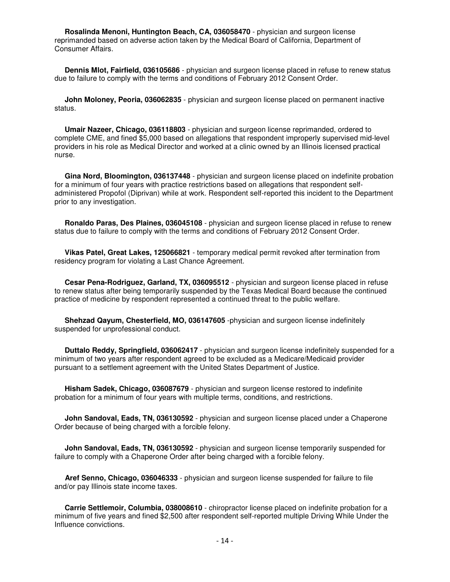**Rosalinda Menoni, Huntington Beach, CA, 036058470** - physician and surgeon license reprimanded based on adverse action taken by the Medical Board of California, Department of Consumer Affairs.

 **Dennis Mlot, Fairfield, 036105686** - physician and surgeon license placed in refuse to renew status due to failure to comply with the terms and conditions of February 2012 Consent Order.

 **John Moloney, Peoria, 036062835** - physician and surgeon license placed on permanent inactive status.

 **Umair Nazeer, Chicago, 036118803** - physician and surgeon license reprimanded, ordered to complete CME, and fined \$5,000 based on allegations that respondent improperly supervised mid-level providers in his role as Medical Director and worked at a clinic owned by an Illinois licensed practical nurse.

 **Gina Nord, Bloomington, 036137448** - physician and surgeon license placed on indefinite probation for a minimum of four years with practice restrictions based on allegations that respondent selfadministered Propofol (Diprivan) while at work. Respondent self-reported this incident to the Department prior to any investigation.

 **Ronaldo Paras, Des Plaines, 036045108** - physician and surgeon license placed in refuse to renew status due to failure to comply with the terms and conditions of February 2012 Consent Order.

 **Vikas Patel, Great Lakes, 125066821** - temporary medical permit revoked after termination from residency program for violating a Last Chance Agreement.

 **Cesar Pena-Rodriguez, Garland, TX, 036095512** - physician and surgeon license placed in refuse to renew status after being temporarily suspended by the Texas Medical Board because the continued practice of medicine by respondent represented a continued threat to the public welfare.

 **Shehzad Qayum, Chesterfield, MO, 036147605** -physician and surgeon license indefinitely suspended for unprofessional conduct.

 **Duttalo Reddy, Springfield, 036062417** - physician and surgeon license indefinitely suspended for a minimum of two years after respondent agreed to be excluded as a Medicare/Medicaid provider pursuant to a settlement agreement with the United States Department of Justice.

 **Hisham Sadek, Chicago, 036087679** - physician and surgeon license restored to indefinite probation for a minimum of four years with multiple terms, conditions, and restrictions.

 **John Sandoval, Eads, TN, 036130592** - physician and surgeon license placed under a Chaperone Order because of being charged with a forcible felony.

 **John Sandoval, Eads, TN, 036130592** - physician and surgeon license temporarily suspended for failure to comply with a Chaperone Order after being charged with a forcible felony.

 **Aref Senno, Chicago, 036046333** - physician and surgeon license suspended for failure to file and/or pay Illinois state income taxes.

 **Carrie Settlemoir, Columbia, 038008610** - chiropractor license placed on indefinite probation for a minimum of five years and fined \$2,500 after respondent self-reported multiple Driving While Under the Influence convictions.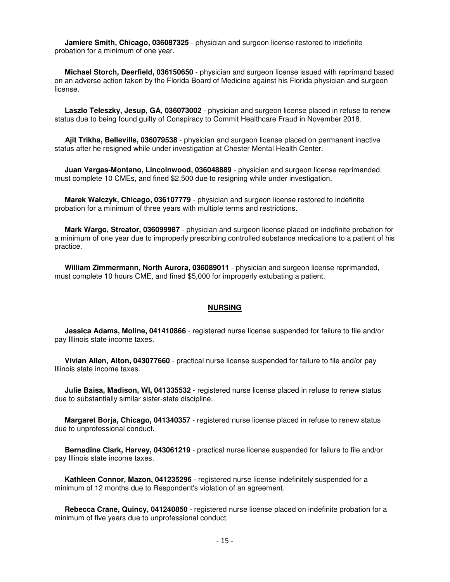**Jamiere Smith, Chicago, 036087325** - physician and surgeon license restored to indefinite probation for a minimum of one year.

 **Michael Storch, Deerfield, 036150650** - physician and surgeon license issued with reprimand based on an adverse action taken by the Florida Board of Medicine against his Florida physician and surgeon license.

 **Laszlo Teleszky, Jesup, GA, 036073002** - physician and surgeon license placed in refuse to renew status due to being found guilty of Conspiracy to Commit Healthcare Fraud in November 2018.

 **Ajit Trikha, Belleville, 036079538** - physician and surgeon license placed on permanent inactive status after he resigned while under investigation at Chester Mental Health Center.

 **Juan Vargas-Montano, Lincolnwood, 036048889** - physician and surgeon license reprimanded, must complete 10 CMEs, and fined \$2,500 due to resigning while under investigation.

 **Marek Walczyk, Chicago, 036107779** - physician and surgeon license restored to indefinite probation for a minimum of three years with multiple terms and restrictions.

 **Mark Wargo, Streator, 036099987** - physician and surgeon license placed on indefinite probation for a minimum of one year due to improperly prescribing controlled substance medications to a patient of his practice.

 **William Zimmermann, North Aurora, 036089011** - physician and surgeon license reprimanded, must complete 10 hours CME, and fined \$5,000 for improperly extubating a patient.

#### **NURSING**

 **Jessica Adams, Moline, 041410866** - registered nurse license suspended for failure to file and/or pay Illinois state income taxes.

 **Vivian Allen, Alton, 043077660** - practical nurse license suspended for failure to file and/or pay Illinois state income taxes.

 **Julie Baisa, Madison, WI, 041335532** - registered nurse license placed in refuse to renew status due to substantially similar sister-state discipline.

 **Margaret Borja, Chicago, 041340357** - registered nurse license placed in refuse to renew status due to unprofessional conduct.

 **Bernadine Clark, Harvey, 043061219** - practical nurse license suspended for failure to file and/or pay Illinois state income taxes.

 **Kathleen Connor, Mazon, 041235296** - registered nurse license indefinitely suspended for a minimum of 12 months due to Respondent's violation of an agreement.

 **Rebecca Crane, Quincy, 041240850** - registered nurse license placed on indefinite probation for a minimum of five years due to unprofessional conduct.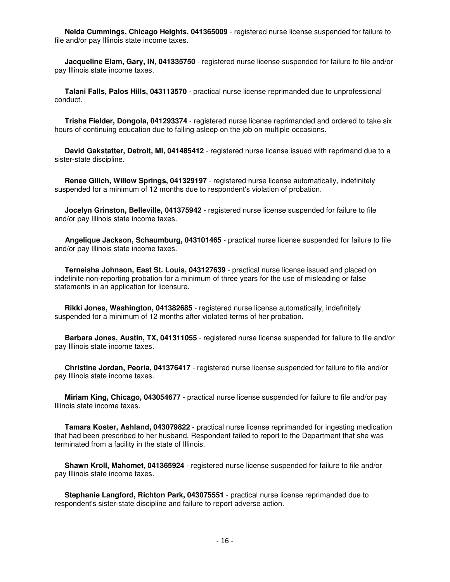**Nelda Cummings, Chicago Heights, 041365009** - registered nurse license suspended for failure to file and/or pay Illinois state income taxes.

 **Jacqueline Elam, Gary, IN, 041335750** - registered nurse license suspended for failure to file and/or pay Illinois state income taxes.

 **Talani Falls, Palos Hills, 043113570** - practical nurse license reprimanded due to unprofessional conduct.

 **Trisha Fielder, Dongola, 041293374** - registered nurse license reprimanded and ordered to take six hours of continuing education due to falling asleep on the job on multiple occasions.

 **David Gakstatter, Detroit, MI, 041485412** - registered nurse license issued with reprimand due to a sister-state discipline.

 **Renee Gilich, Willow Springs, 041329197** - registered nurse license automatically, indefinitely suspended for a minimum of 12 months due to respondent's violation of probation.

 **Jocelyn Grinston, Belleville, 041375942** - registered nurse license suspended for failure to file and/or pay Illinois state income taxes.

 **Angelique Jackson, Schaumburg, 043101465** - practical nurse license suspended for failure to file and/or pay Illinois state income taxes.

 **Terneisha Johnson, East St. Louis, 043127639** - practical nurse license issued and placed on indefinite non-reporting probation for a minimum of three years for the use of misleading or false statements in an application for licensure.

 **Rikki Jones, Washington, 041382685** - registered nurse license automatically, indefinitely suspended for a minimum of 12 months after violated terms of her probation.

 **Barbara Jones, Austin, TX, 041311055** - registered nurse license suspended for failure to file and/or pay Illinois state income taxes.

 **Christine Jordan, Peoria, 041376417** - registered nurse license suspended for failure to file and/or pay Illinois state income taxes.

 **Miriam King, Chicago, 043054677** - practical nurse license suspended for failure to file and/or pay Illinois state income taxes.

 **Tamara Koster, Ashland, 043079822** - practical nurse license reprimanded for ingesting medication that had been prescribed to her husband. Respondent failed to report to the Department that she was terminated from a facility in the state of Illinois.

 **Shawn Kroll, Mahomet, 041365924** - registered nurse license suspended for failure to file and/or pay Illinois state income taxes.

 **Stephanie Langford, Richton Park, 043075551** - practical nurse license reprimanded due to respondent's sister-state discipline and failure to report adverse action.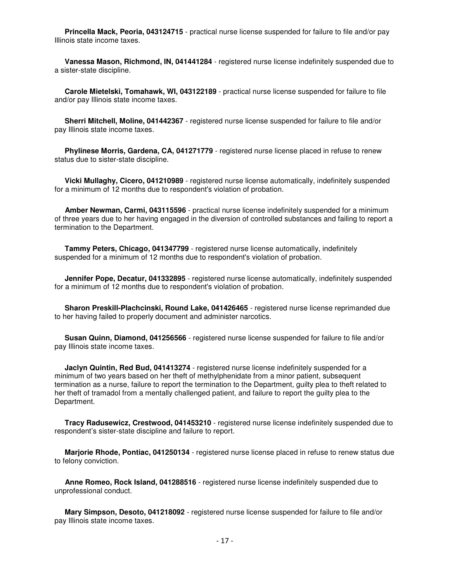**Princella Mack, Peoria, 043124715** - practical nurse license suspended for failure to file and/or pay Illinois state income taxes.

 **Vanessa Mason, Richmond, IN, 041441284** - registered nurse license indefinitely suspended due to a sister-state discipline.

 **Carole Mietelski, Tomahawk, WI, 043122189** - practical nurse license suspended for failure to file and/or pay Illinois state income taxes.

 **Sherri Mitchell, Moline, 041442367** - registered nurse license suspended for failure to file and/or pay Illinois state income taxes.

 **Phylinese Morris, Gardena, CA, 041271779** - registered nurse license placed in refuse to renew status due to sister-state discipline.

 **Vicki Mullaghy, Cicero, 041210989** - registered nurse license automatically, indefinitely suspended for a minimum of 12 months due to respondent's violation of probation.

 **Amber Newman, Carmi, 043115596** - practical nurse license indefinitely suspended for a minimum of three years due to her having engaged in the diversion of controlled substances and failing to report a termination to the Department.

 **Tammy Peters, Chicago, 041347799** - registered nurse license automatically, indefinitely suspended for a minimum of 12 months due to respondent's violation of probation.

 **Jennifer Pope, Decatur, 041332895** - registered nurse license automatically, indefinitely suspended for a minimum of 12 months due to respondent's violation of probation.

 **Sharon Preskill-Plachcinski, Round Lake, 041426465** - registered nurse license reprimanded due to her having failed to properly document and administer narcotics.

 **Susan Quinn, Diamond, 041256566** - registered nurse license suspended for failure to file and/or pay Illinois state income taxes.

 **Jaclyn Quintin, Red Bud, 041413274** - registered nurse license indefinitely suspended for a minimum of two years based on her theft of methylphenidate from a minor patient, subsequent termination as a nurse, failure to report the termination to the Department, guilty plea to theft related to her theft of tramadol from a mentally challenged patient, and failure to report the guilty plea to the Department.

 **Tracy Radusewicz, Crestwood, 041453210** - registered nurse license indefinitely suspended due to respondent's sister-state discipline and failure to report.

 **Marjorie Rhode, Pontiac, 041250134** - registered nurse license placed in refuse to renew status due to felony conviction.

 **Anne Romeo, Rock Island, 041288516** - registered nurse license indefinitely suspended due to unprofessional conduct.

 **Mary Simpson, Desoto, 041218092** - registered nurse license suspended for failure to file and/or pay Illinois state income taxes.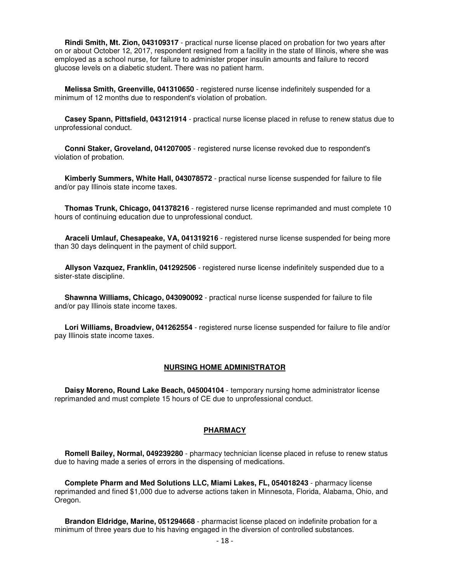**Rindi Smith, Mt. Zion, 043109317** - practical nurse license placed on probation for two years after on or about October 12, 2017, respondent resigned from a facility in the state of Illinois, where she was employed as a school nurse, for failure to administer proper insulin amounts and failure to record glucose levels on a diabetic student. There was no patient harm.

 **Melissa Smith, Greenville, 041310650** - registered nurse license indefinitely suspended for a minimum of 12 months due to respondent's violation of probation.

 **Casey Spann, Pittsfield, 043121914** - practical nurse license placed in refuse to renew status due to unprofessional conduct.

 **Conni Staker, Groveland, 041207005** - registered nurse license revoked due to respondent's violation of probation.

 **Kimberly Summers, White Hall, 043078572** - practical nurse license suspended for failure to file and/or pay Illinois state income taxes.

 **Thomas Trunk, Chicago, 041378216** - registered nurse license reprimanded and must complete 10 hours of continuing education due to unprofessional conduct.

 **Araceli Umlauf, Chesapeake, VA, 041319216** - registered nurse license suspended for being more than 30 days delinquent in the payment of child support.

 **Allyson Vazquez, Franklin, 041292506** - registered nurse license indefinitely suspended due to a sister-state discipline.

 **Shawnna Williams, Chicago, 043090092** - practical nurse license suspended for failure to file and/or pay Illinois state income taxes.

 **Lori Williams, Broadview, 041262554** - registered nurse license suspended for failure to file and/or pay Illinois state income taxes.

#### **NURSING HOME ADMINISTRATOR**

 **Daisy Moreno, Round Lake Beach, 045004104** - temporary nursing home administrator license reprimanded and must complete 15 hours of CE due to unprofessional conduct.

#### **PHARMACY**

 **Romell Bailey, Normal, 049239280** - pharmacy technician license placed in refuse to renew status due to having made a series of errors in the dispensing of medications.

 **Complete Pharm and Med Solutions LLC, Miami Lakes, FL, 054018243** - pharmacy license reprimanded and fined \$1,000 due to adverse actions taken in Minnesota, Florida, Alabama, Ohio, and Oregon.

 **Brandon Eldridge, Marine, 051294668** - pharmacist license placed on indefinite probation for a minimum of three years due to his having engaged in the diversion of controlled substances.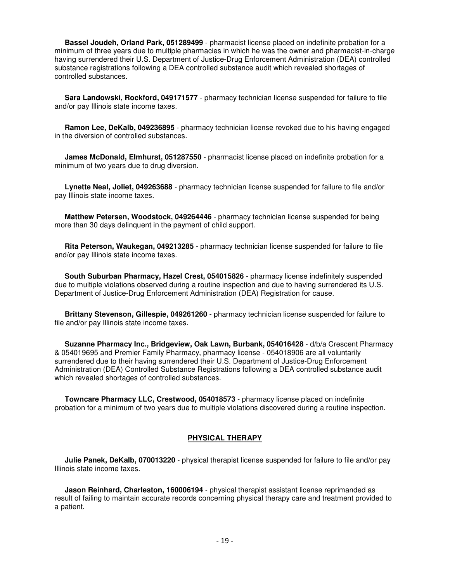**Bassel Joudeh, Orland Park, 051289499** - pharmacist license placed on indefinite probation for a minimum of three years due to multiple pharmacies in which he was the owner and pharmacist-in-charge having surrendered their U.S. Department of Justice-Drug Enforcement Administration (DEA) controlled substance registrations following a DEA controlled substance audit which revealed shortages of controlled substances.

 **Sara Landowski, Rockford, 049171577** - pharmacy technician license suspended for failure to file and/or pay Illinois state income taxes.

 **Ramon Lee, DeKalb, 049236895** - pharmacy technician license revoked due to his having engaged in the diversion of controlled substances.

 **James McDonald, Elmhurst, 051287550** - pharmacist license placed on indefinite probation for a minimum of two years due to drug diversion.

 **Lynette Neal, Joliet, 049263688** - pharmacy technician license suspended for failure to file and/or pay Illinois state income taxes.

 **Matthew Petersen, Woodstock, 049264446** - pharmacy technician license suspended for being more than 30 days delinquent in the payment of child support.

 **Rita Peterson, Waukegan, 049213285** - pharmacy technician license suspended for failure to file and/or pay Illinois state income taxes.

 **South Suburban Pharmacy, Hazel Crest, 054015826** - pharmacy license indefinitely suspended due to multiple violations observed during a routine inspection and due to having surrendered its U.S. Department of Justice-Drug Enforcement Administration (DEA) Registration for cause.

 **Brittany Stevenson, Gillespie, 049261260** - pharmacy technician license suspended for failure to file and/or pay Illinois state income taxes.

 **Suzanne Pharmacy Inc., Bridgeview, Oak Lawn, Burbank, 054016428** - d/b/a Crescent Pharmacy & 054019695 and Premier Family Pharmacy, pharmacy license - 054018906 are all voluntarily surrendered due to their having surrendered their U.S. Department of Justice-Drug Enforcement Administration (DEA) Controlled Substance Registrations following a DEA controlled substance audit which revealed shortages of controlled substances.

 **Towncare Pharmacy LLC, Crestwood, 054018573** - pharmacy license placed on indefinite probation for a minimum of two years due to multiple violations discovered during a routine inspection.

#### **PHYSICAL THERAPY**

 **Julie Panek, DeKalb, 070013220** - physical therapist license suspended for failure to file and/or pay Illinois state income taxes.

 **Jason Reinhard, Charleston, 160006194** - physical therapist assistant license reprimanded as result of failing to maintain accurate records concerning physical therapy care and treatment provided to a patient.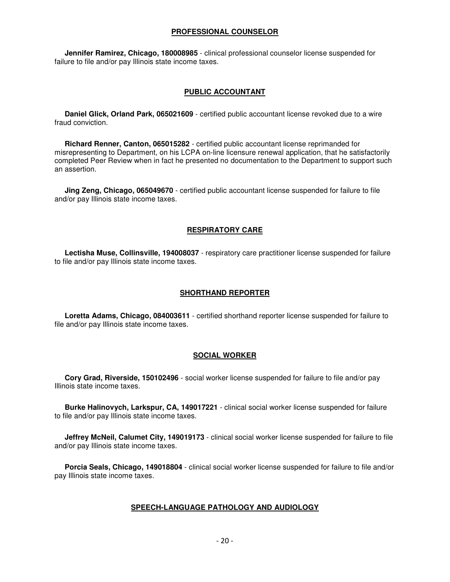#### **PROFESSIONAL COUNSELOR**

 **Jennifer Ramirez, Chicago, 180008985** - clinical professional counselor license suspended for failure to file and/or pay Illinois state income taxes.

#### **PUBLIC ACCOUNTANT**

 **Daniel Glick, Orland Park, 065021609** - certified public accountant license revoked due to a wire fraud conviction.

 **Richard Renner, Canton, 065015282** - certified public accountant license reprimanded for misrepresenting to Department, on his LCPA on-line licensure renewal application, that he satisfactorily completed Peer Review when in fact he presented no documentation to the Department to support such an assertion.

 **Jing Zeng, Chicago, 065049670** - certified public accountant license suspended for failure to file and/or pay Illinois state income taxes.

#### **RESPIRATORY CARE**

 **Lectisha Muse, Collinsville, 194008037** - respiratory care practitioner license suspended for failure to file and/or pay Illinois state income taxes.

#### **SHORTHAND REPORTER**

 **Loretta Adams, Chicago, 084003611** - certified shorthand reporter license suspended for failure to file and/or pay Illinois state income taxes.

#### **SOCIAL WORKER**

 **Cory Grad, Riverside, 150102496** - social worker license suspended for failure to file and/or pay Illinois state income taxes.

 **Burke Halinovych, Larkspur, CA, 149017221** - clinical social worker license suspended for failure to file and/or pay Illinois state income taxes.

 **Jeffrey McNeil, Calumet City, 149019173** - clinical social worker license suspended for failure to file and/or pay Illinois state income taxes.

 **Porcia Seals, Chicago, 149018804** - clinical social worker license suspended for failure to file and/or pay Illinois state income taxes.

#### **SPEECH-LANGUAGE PATHOLOGY AND AUDIOLOGY**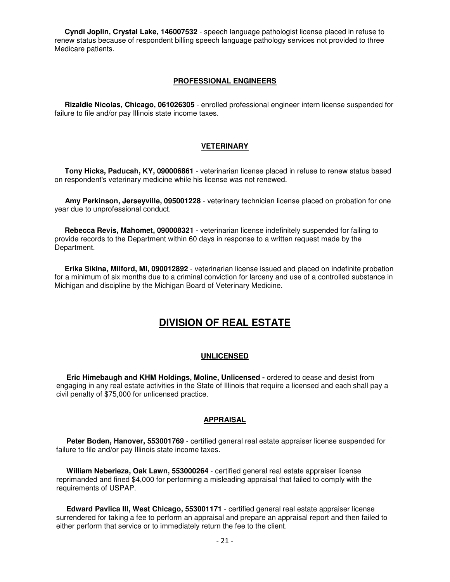**Cyndi Joplin, Crystal Lake, 146007532** - speech language pathologist license placed in refuse to renew status because of respondent billing speech language pathology services not provided to three Medicare patients.

#### **PROFESSIONAL ENGINEERS**

 **Rizaldie Nicolas, Chicago, 061026305** - enrolled professional engineer intern license suspended for failure to file and/or pay Illinois state income taxes.

#### **VETERINARY**

 **Tony Hicks, Paducah, KY, 090006861** - veterinarian license placed in refuse to renew status based on respondent's veterinary medicine while his license was not renewed.

 **Amy Perkinson, Jerseyville, 095001228** - veterinary technician license placed on probation for one year due to unprofessional conduct.

 **Rebecca Revis, Mahomet, 090008321** - veterinarian license indefinitely suspended for failing to provide records to the Department within 60 days in response to a written request made by the Department.

 **Erika Sikina, Milford, MI, 090012892** - veterinarian license issued and placed on indefinite probation for a minimum of six months due to a criminal conviction for larceny and use of a controlled substance in Michigan and discipline by the Michigan Board of Veterinary Medicine.

### **DIVISION OF REAL ESTATE**

#### **UNLICENSED**

 **Eric Himebaugh and KHM Holdings, Moline, Unlicensed -** ordered to cease and desist from engaging in any real estate activities in the State of Illinois that require a licensed and each shall pay a civil penalty of \$75,000 for unlicensed practice.

#### **APPRAISAL**

 **Peter Boden, Hanover, 553001769** - certified general real estate appraiser license suspended for failure to file and/or pay Illinois state income taxes.

 **William Neberieza, Oak Lawn, 553000264** - certified general real estate appraiser license reprimanded and fined \$4,000 for performing a misleading appraisal that failed to comply with the requirements of USPAP.

 **Edward Pavlica III, West Chicago, 553001171** - certified general real estate appraiser license surrendered for taking a fee to perform an appraisal and prepare an appraisal report and then failed to either perform that service or to immediately return the fee to the client.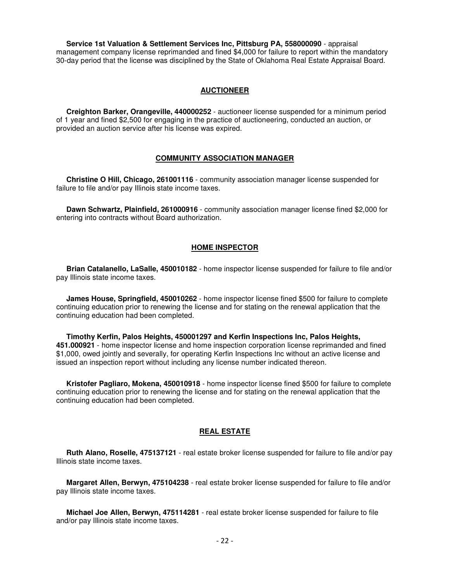**Service 1st Valuation & Settlement Services Inc, Pittsburg PA, 558000090** - appraisal management company license reprimanded and fined \$4,000 for failure to report within the mandatory 30-day period that the license was disciplined by the State of Oklahoma Real Estate Appraisal Board.

#### **AUCTIONEER**

 **Creighton Barker, Orangeville, 440000252** - auctioneer license suspended for a minimum period of 1 year and fined \$2,500 for engaging in the practice of auctioneering, conducted an auction, or provided an auction service after his license was expired.

#### **COMMUNITY ASSOCIATION MANAGER**

 **Christine O Hill, Chicago, 261001116** - community association manager license suspended for failure to file and/or pay Illinois state income taxes.

 **Dawn Schwartz, Plainfield, 261000916** - community association manager license fined \$2,000 for entering into contracts without Board authorization.

#### **HOME INSPECTOR**

 **Brian Catalanello, LaSalle, 450010182** - home inspector license suspended for failure to file and/or pay Illinois state income taxes.

 **James House, Springfield, 450010262** - home inspector license fined \$500 for failure to complete continuing education prior to renewing the license and for stating on the renewal application that the continuing education had been completed.

 **Timothy Kerfin, Palos Heights, 450001297 and Kerfin Inspections Inc, Palos Heights, 451.000921** - home inspector license and home inspection corporation license reprimanded and fined \$1,000, owed jointly and severally, for operating Kerfin Inspections Inc without an active license and issued an inspection report without including any license number indicated thereon.

 **Kristofer Pagliaro, Mokena, 450010918** - home inspector license fined \$500 for failure to complete continuing education prior to renewing the license and for stating on the renewal application that the continuing education had been completed.

#### **REAL ESTATE**

 **Ruth Alano, Roselle, 475137121** - real estate broker license suspended for failure to file and/or pay Illinois state income taxes.

 **Margaret Allen, Berwyn, 475104238** - real estate broker license suspended for failure to file and/or pay Illinois state income taxes.

 **Michael Joe Allen, Berwyn, 475114281** - real estate broker license suspended for failure to file and/or pay Illinois state income taxes.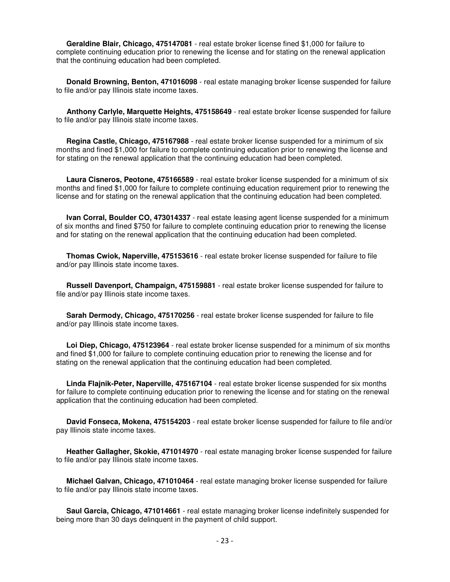**Geraldine Blair, Chicago, 475147081** - real estate broker license fined \$1,000 for failure to complete continuing education prior to renewing the license and for stating on the renewal application that the continuing education had been completed.

 **Donald Browning, Benton, 471016098** - real estate managing broker license suspended for failure to file and/or pay Illinois state income taxes.

 **Anthony Carlyle, Marquette Heights, 475158649** - real estate broker license suspended for failure to file and/or pay Illinois state income taxes.

 **Regina Castle, Chicago, 475167988** - real estate broker license suspended for a minimum of six months and fined \$1,000 for failure to complete continuing education prior to renewing the license and for stating on the renewal application that the continuing education had been completed.

 **Laura Cisneros, Peotone, 475166589** - real estate broker license suspended for a minimum of six months and fined \$1,000 for failure to complete continuing education requirement prior to renewing the license and for stating on the renewal application that the continuing education had been completed.

 **Ivan Corral, Boulder CO, 473014337** - real estate leasing agent license suspended for a minimum of six months and fined \$750 for failure to complete continuing education prior to renewing the license and for stating on the renewal application that the continuing education had been completed.

 **Thomas Cwiok, Naperville, 475153616** - real estate broker license suspended for failure to file and/or pay Illinois state income taxes.

 **Russell Davenport, Champaign, 475159881** - real estate broker license suspended for failure to file and/or pay Illinois state income taxes.

 **Sarah Dermody, Chicago, 475170256** - real estate broker license suspended for failure to file and/or pay Illinois state income taxes.

 **Loi Diep, Chicago, 475123964** - real estate broker license suspended for a minimum of six months and fined \$1,000 for failure to complete continuing education prior to renewing the license and for stating on the renewal application that the continuing education had been completed.

 **Linda Flajnik-Peter, Naperville, 475167104** - real estate broker license suspended for six months for failure to complete continuing education prior to renewing the license and for stating on the renewal application that the continuing education had been completed.

 **David Fonseca, Mokena, 475154203** - real estate broker license suspended for failure to file and/or pay Illinois state income taxes.

 **Heather Gallagher, Skokie, 471014970** - real estate managing broker license suspended for failure to file and/or pay Illinois state income taxes.

 **Michael Galvan, Chicago, 471010464** - real estate managing broker license suspended for failure to file and/or pay Illinois state income taxes.

 **Saul Garcia, Chicago, 471014661** - real estate managing broker license indefinitely suspended for being more than 30 days delinquent in the payment of child support.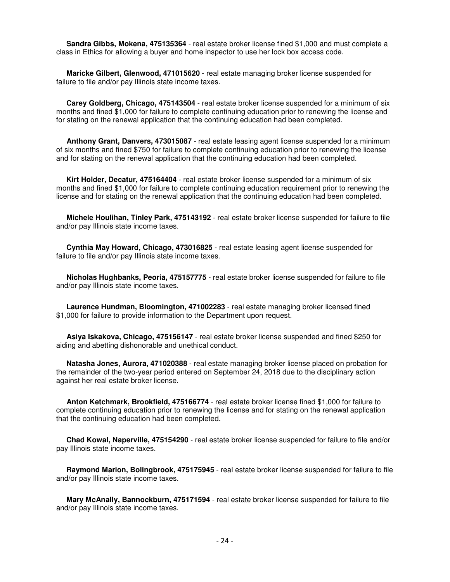**Sandra Gibbs, Mokena, 475135364** - real estate broker license fined \$1,000 and must complete a class in Ethics for allowing a buyer and home inspector to use her lock box access code.

 **Maricke Gilbert, Glenwood, 471015620** - real estate managing broker license suspended for failure to file and/or pay Illinois state income taxes.

 **Carey Goldberg, Chicago, 475143504** - real estate broker license suspended for a minimum of six months and fined \$1,000 for failure to complete continuing education prior to renewing the license and for stating on the renewal application that the continuing education had been completed.

 **Anthony Grant, Danvers, 473015087** - real estate leasing agent license suspended for a minimum of six months and fined \$750 for failure to complete continuing education prior to renewing the license and for stating on the renewal application that the continuing education had been completed.

 **Kirt Holder, Decatur, 475164404** - real estate broker license suspended for a minimum of six months and fined \$1,000 for failure to complete continuing education requirement prior to renewing the license and for stating on the renewal application that the continuing education had been completed.

 **Michele Houlihan, Tinley Park, 475143192** - real estate broker license suspended for failure to file and/or pay Illinois state income taxes.

 **Cynthia May Howard, Chicago, 473016825** - real estate leasing agent license suspended for failure to file and/or pay Illinois state income taxes.

 **Nicholas Hughbanks, Peoria, 475157775** - real estate broker license suspended for failure to file and/or pay Illinois state income taxes.

 **Laurence Hundman, Bloomington, 471002283** - real estate managing broker licensed fined \$1,000 for failure to provide information to the Department upon request.

 **Asiya Iskakova, Chicago, 475156147** - real estate broker license suspended and fined \$250 for aiding and abetting dishonorable and unethical conduct.

 **Natasha Jones, Aurora, 471020388** - real estate managing broker license placed on probation for the remainder of the two-year period entered on September 24, 2018 due to the disciplinary action against her real estate broker license.

 **Anton Ketchmark, Brookfield, 475166774** - real estate broker license fined \$1,000 for failure to complete continuing education prior to renewing the license and for stating on the renewal application that the continuing education had been completed.

 **Chad Kowal, Naperville, 475154290** - real estate broker license suspended for failure to file and/or pay Illinois state income taxes.

 **Raymond Marion, Bolingbrook, 475175945** - real estate broker license suspended for failure to file and/or pay Illinois state income taxes.

 **Mary McAnally, Bannockburn, 475171594** - real estate broker license suspended for failure to file and/or pay Illinois state income taxes.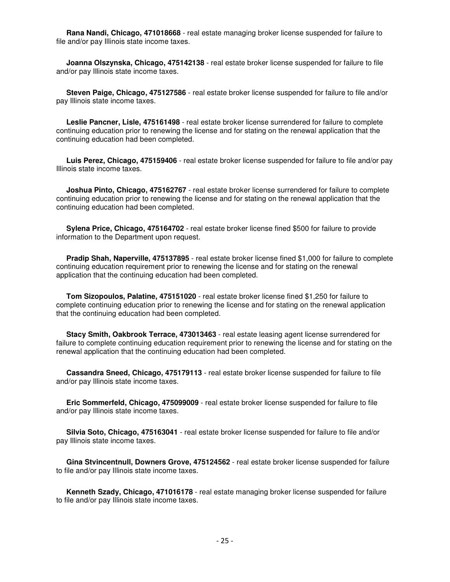**Rana Nandi, Chicago, 471018668** - real estate managing broker license suspended for failure to file and/or pay Illinois state income taxes.

 **Joanna Olszynska, Chicago, 475142138** - real estate broker license suspended for failure to file and/or pay Illinois state income taxes.

 **Steven Paige, Chicago, 475127586** - real estate broker license suspended for failure to file and/or pay Illinois state income taxes.

 **Leslie Pancner, Lisle, 475161498** - real estate broker license surrendered for failure to complete continuing education prior to renewing the license and for stating on the renewal application that the continuing education had been completed.

 **Luis Perez, Chicago, 475159406** - real estate broker license suspended for failure to file and/or pay Illinois state income taxes.

 **Joshua Pinto, Chicago, 475162767** - real estate broker license surrendered for failure to complete continuing education prior to renewing the license and for stating on the renewal application that the continuing education had been completed.

 **Sylena Price, Chicago, 475164702** - real estate broker license fined \$500 for failure to provide information to the Department upon request.

**Pradip Shah, Naperville, 475137895** - real estate broker license fined \$1,000 for failure to complete continuing education requirement prior to renewing the license and for stating on the renewal application that the continuing education had been completed.

 **Tom Sizopoulos, Palatine, 475151020** - real estate broker license fined \$1,250 for failure to complete continuing education prior to renewing the license and for stating on the renewal application that the continuing education had been completed.

 **Stacy Smith, Oakbrook Terrace, 473013463** - real estate leasing agent license surrendered for failure to complete continuing education requirement prior to renewing the license and for stating on the renewal application that the continuing education had been completed.

 **Cassandra Sneed, Chicago, 475179113** - real estate broker license suspended for failure to file and/or pay Illinois state income taxes.

 **Eric Sommerfeld, Chicago, 475099009** - real estate broker license suspended for failure to file and/or pay Illinois state income taxes.

 **Silvia Soto, Chicago, 475163041** - real estate broker license suspended for failure to file and/or pay Illinois state income taxes.

 **Gina Stvincentnull, Downers Grove, 475124562** - real estate broker license suspended for failure to file and/or pay Illinois state income taxes.

 **Kenneth Szady, Chicago, 471016178** - real estate managing broker license suspended for failure to file and/or pay Illinois state income taxes.